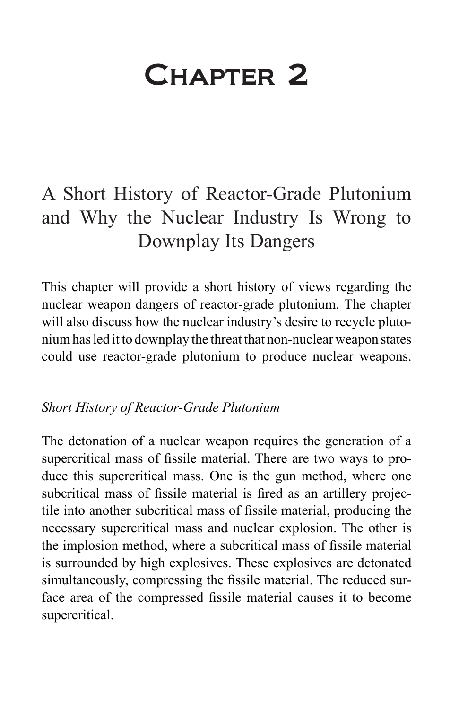## Chapter 2

## A Short History of Reactor-Grade Plutonium and Why the Nuclear Industry Is Wrong to Downplay Its Dangers

This chapter will provide a short history of views regarding the nuclear weapon dangers of reactor-grade plutonium. The chapter will also discuss how the nuclear industry's desire to recycle plutonium has led it to downplay the threat that non-nuclear weapon states could use reactor-grade plutonium to produce nuclear weapons.

## *Short History of Reactor-Grade Plutonium*

The detonation of a nuclear weapon requires the generation of a supercritical mass of fissile material. There are two ways to produce this supercritical mass. One is the gun method, where one subcritical mass of fissile material is fired as an artillery projectile into another subcritical mass of fissile material, producing the necessary supercritical mass and nuclear explosion. The other is the implosion method, where a subcritical mass of fissile material is surrounded by high explosives. These explosives are detonated simultaneously, compressing the fissile material. The reduced surface area of the compressed fissile material causes it to become supercritical.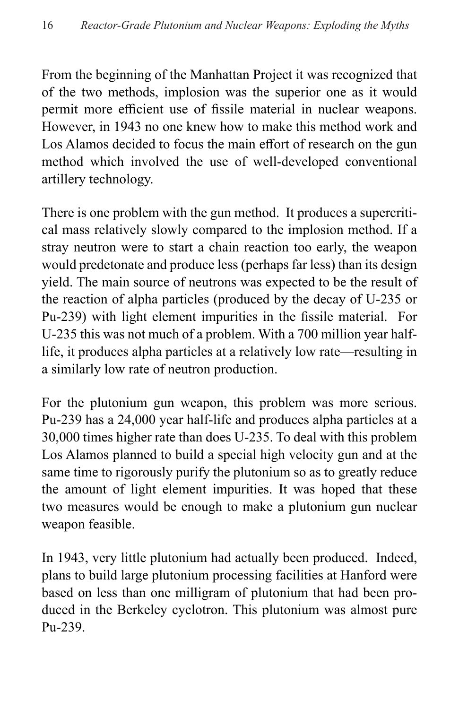From the beginning of the Manhattan Project it was recognized that of the two methods, implosion was the superior one as it would permit more efficient use of fissile material in nuclear weapons. However, in 1943 no one knew how to make this method work and Los Alamos decided to focus the main effort of research on the gun method which involved the use of well-developed conventional artillery technology.

There is one problem with the gun method. It produces a supercritical mass relatively slowly compared to the implosion method. If a stray neutron were to start a chain reaction too early, the weapon would predetonate and produce less (perhaps far less) than its design yield. The main source of neutrons was expected to be the result of the reaction of alpha particles (produced by the decay of U-235 or Pu-239) with light element impurities in the fissile material. For U-235 this was not much of a problem. With a 700 million year halflife, it produces alpha particles at a relatively low rate—resulting in a similarly low rate of neutron production.

For the plutonium gun weapon, this problem was more serious. Pu-239 has a 24,000 year half-life and produces alpha particles at a 30,000 times higher rate than does U-235. To deal with this problem Los Alamos planned to build a special high velocity gun and at the same time to rigorously purify the plutonium so as to greatly reduce the amount of light element impurities. It was hoped that these two measures would be enough to make a plutonium gun nuclear weapon feasible.

In 1943, very little plutonium had actually been produced. Indeed, plans to build large plutonium processing facilities at Hanford were based on less than one milligram of plutonium that had been produced in the Berkeley cyclotron. This plutonium was almost pure Pu-239.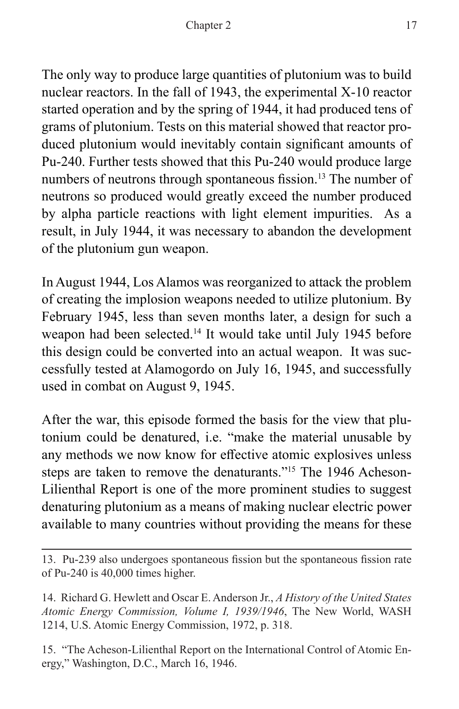The only way to produce large quantities of plutonium was to build nuclear reactors. In the fall of 1943, the experimental X-10 reactor started operation and by the spring of 1944, it had produced tens of grams of plutonium. Tests on this material showed that reactor produced plutonium would inevitably contain significant amounts of Pu-240. Further tests showed that this Pu-240 would produce large numbers of neutrons through spontaneous fission.<sup>13</sup> The number of neutrons so produced would greatly exceed the number produced by alpha particle reactions with light element impurities. As a result, in July 1944, it was necessary to abandon the development of the plutonium gun weapon.

In August 1944, Los Alamos was reorganized to attack the problem of creating the implosion weapons needed to utilize plutonium. By February 1945, less than seven months later, a design for such a weapon had been selected.<sup>14</sup> It would take until July 1945 before this design could be converted into an actual weapon. It was successfully tested at Alamogordo on July 16, 1945, and successfully used in combat on August 9, 1945.

After the war, this episode formed the basis for the view that plutonium could be denatured, i.e. "make the material unusable by any methods we now know for effective atomic explosives unless steps are taken to remove the denaturants."15 The 1946 Acheson-Lilienthal Report is one of the more prominent studies to suggest denaturing plutonium as a means of making nuclear electric power available to many countries without providing the means for these

15. "The Acheson-Lilienthal Report on the International Control of Atomic Energy," Washington, D.C., March 16, 1946.

<sup>13.</sup> Pu-239 also undergoes spontaneous fission but the spontaneous fission rate of Pu-240 is 40,000 times higher.

<sup>14.</sup> Richard G. Hewlett and Oscar E. Anderson Jr., *A History of the United States Atomic Energy Commission, Volume I, 1939/1946*, The New World, WASH 1214, U.S. Atomic Energy Commission, 1972, p. 318.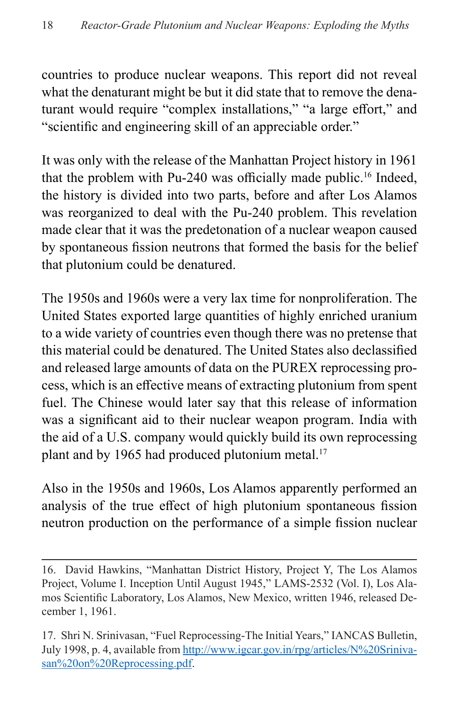countries to produce nuclear weapons. This report did not reveal what the denaturant might be but it did state that to remove the denaturant would require "complex installations," "a large effort," and "scientific and engineering skill of an appreciable order."

It was only with the release of the Manhattan Project history in 1961 that the problem with Pu-240 was officially made public.<sup>16</sup> Indeed, the history is divided into two parts, before and after Los Alamos was reorganized to deal with the Pu-240 problem. This revelation made clear that it was the predetonation of a nuclear weapon caused by spontaneous fission neutrons that formed the basis for the belief that plutonium could be denatured.

The 1950s and 1960s were a very lax time for nonproliferation. The United States exported large quantities of highly enriched uranium to a wide variety of countries even though there was no pretense that this material could be denatured. The United States also declassified and released large amounts of data on the PUREX reprocessing process, which is an effective means of extracting plutonium from spent fuel. The Chinese would later say that this release of information was a significant aid to their nuclear weapon program. India with the aid of a U.S. company would quickly build its own reprocessing plant and by 1965 had produced plutonium metal. $17$ 

Also in the 1950s and 1960s, Los Alamos apparently performed an analysis of the true effect of high plutonium spontaneous fission neutron production on the performance of a simple fission nuclear

<sup>16.</sup> David Hawkins, "Manhattan District History, Project Y, The Los Alamos Project, Volume I. Inception Until August 1945," LAMS-2532 (Vol. I), Los Alamos Scientific Laboratory, Los Alamos, New Mexico, written 1946, released December 1, 1961.

<sup>17.</sup> Shri N. Srinivasan, "Fuel Reprocessing-The Initial Years," IANCAS Bulletin, July 1998, p. 4, available from [http://www.igcar.gov.in/rpg/articles/N%20Sriniva](http://www.igcar.gov.in/rpg/articles/N%20Srinivasan%20on%20Reprocessing.pdf)[san%20on%20Reprocessing.pdf.](http://www.igcar.gov.in/rpg/articles/N%20Srinivasan%20on%20Reprocessing.pdf)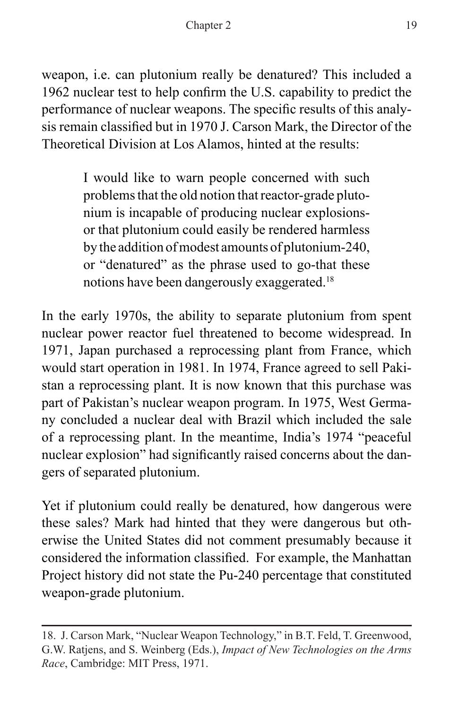weapon, i.e. can plutonium really be denatured? This included a 1962 nuclear test to help confirm the U.S. capability to predict the performance of nuclear weapons. The specific results of this analysis remain classified but in 1970 J. Carson Mark, the Director of the Theoretical Division at Los Alamos, hinted at the results:

> I would like to warn people concerned with such problems that the old notion that reactor-grade plutonium is incapable of producing nuclear explosionsor that plutonium could easily be rendered harmless by the addition of modest amounts of plutonium-240, or "denatured" as the phrase used to go-that these notions have been dangerously exaggerated.18

In the early 1970s, the ability to separate plutonium from spent nuclear power reactor fuel threatened to become widespread. In 1971, Japan purchased a reprocessing plant from France, which would start operation in 1981. In 1974, France agreed to sell Pakistan a reprocessing plant. It is now known that this purchase was part of Pakistan's nuclear weapon program. In 1975, West Germany concluded a nuclear deal with Brazil which included the sale of a reprocessing plant. In the meantime, India's 1974 "peaceful nuclear explosion" had significantly raised concerns about the dangers of separated plutonium.

Yet if plutonium could really be denatured, how dangerous were these sales? Mark had hinted that they were dangerous but otherwise the United States did not comment presumably because it considered the information classified. For example, the Manhattan Project history did not state the Pu-240 percentage that constituted weapon-grade plutonium.

<sup>18.</sup> J. Carson Mark, "Nuclear Weapon Technology," in B.T. Feld, T. Greenwood, G.W. Ratjens, and S. Weinberg (Eds.), *Impact of New Technologies on the Arms Race*, Cambridge: MIT Press, 1971.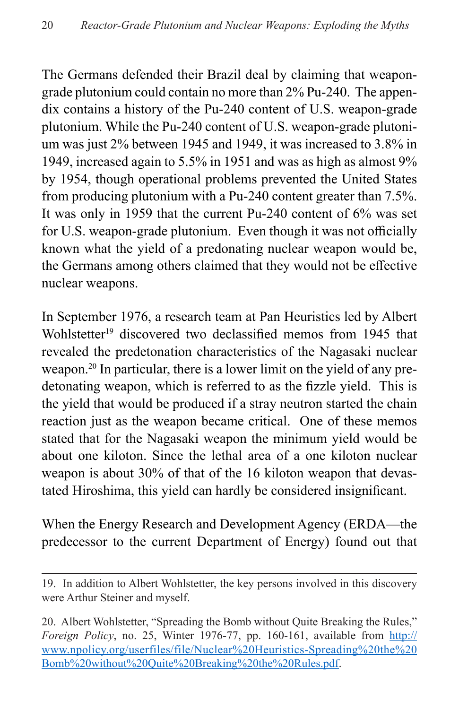The Germans defended their Brazil deal by claiming that weapongrade plutonium could contain no more than 2% Pu-240. The appendix contains a history of the Pu-240 content of U.S. weapon-grade plutonium. While the Pu-240 content of U.S. weapon-grade plutonium was just 2% between 1945 and 1949, it was increased to 3.8% in 1949, increased again to 5.5% in 1951 and was as high as almost 9% by 1954, though operational problems prevented the United States from producing plutonium with a Pu-240 content greater than 7.5%. It was only in 1959 that the current Pu-240 content of 6% was set for U.S. weapon-grade plutonium. Even though it was not officially known what the yield of a predonating nuclear weapon would be, the Germans among others claimed that they would not be effective nuclear weapons.

In September 1976, a research team at Pan Heuristics led by Albert Wohlstetter<sup>19</sup> discovered two declassified memos from 1945 that revealed the predetonation characteristics of the Nagasaki nuclear weapon.20 In particular, there is a lower limit on the yield of any predetonating weapon, which is referred to as the fizzle yield. This is the yield that would be produced if a stray neutron started the chain reaction just as the weapon became critical. One of these memos stated that for the Nagasaki weapon the minimum yield would be about one kiloton. Since the lethal area of a one kiloton nuclear weapon is about 30% of that of the 16 kiloton weapon that devastated Hiroshima, this yield can hardly be considered insignificant.

When the Energy Research and Development Agency (ERDA—the predecessor to the current Department of Energy) found out that

<sup>19.</sup> In addition to Albert Wohlstetter, the key persons involved in this discovery were Arthur Steiner and myself.

<sup>20.</sup> Albert Wohlstetter, "Spreading the Bomb without Quite Breaking the Rules," *Foreign Policy*, no. 25, Winter 1976-77, pp. 160-161, available from [http://](http://www.npolicy.org/userfiles/file/Nuclear%20Heuristics-Spreading%20the%20Bomb%20without%20Quite%20Breaking%20the%20Rules.pdf) [www.npolicy.org/userfiles/file/Nuclear%20Heuristics-Spreading%20the%20](http://www.npolicy.org/userfiles/file/Nuclear%20Heuristics-Spreading%20the%20Bomb%20without%20Quite%20Breaking%20the%20Rules.pdf) [Bomb%20without%20Quite%20Breaking%20the%20Rules.pdf](http://www.npolicy.org/userfiles/file/Nuclear%20Heuristics-Spreading%20the%20Bomb%20without%20Quite%20Breaking%20the%20Rules.pdf).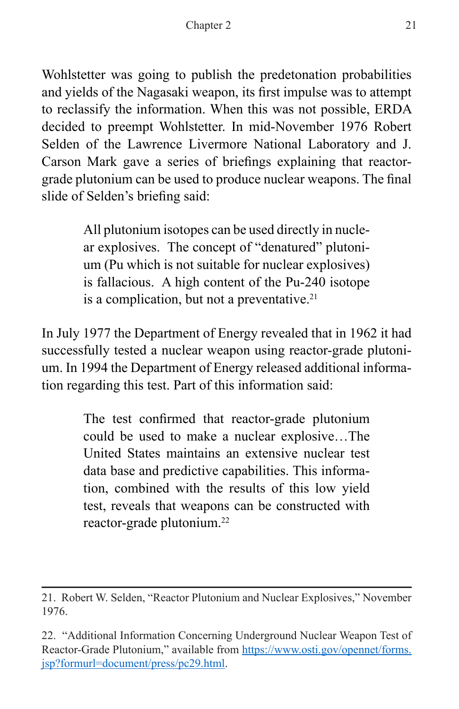Wohlstetter was going to publish the predetonation probabilities and yields of the Nagasaki weapon, its first impulse was to attempt to reclassify the information. When this was not possible, ERDA decided to preempt Wohlstetter. In mid-November 1976 Robert Selden of the Lawrence Livermore National Laboratory and J. Carson Mark gave a series of briefings explaining that reactorgrade plutonium can be used to produce nuclear weapons. The final slide of Selden's briefing said:

> All plutonium isotopes can be used directly in nuclear explosives. The concept of "denatured" plutonium (Pu which is not suitable for nuclear explosives) is fallacious. A high content of the Pu-240 isotope is a complication, but not a preventative.<sup>21</sup>

In July 1977 the Department of Energy revealed that in 1962 it had successfully tested a nuclear weapon using reactor-grade plutonium. In 1994 the Department of Energy released additional information regarding this test. Part of this information said:

> The test confirmed that reactor-grade plutonium could be used to make a nuclear explosive…The United States maintains an extensive nuclear test data base and predictive capabilities. This information, combined with the results of this low yield test, reveals that weapons can be constructed with reactor-grade plutonium.22

<sup>21.</sup> Robert W. Selden, "Reactor Plutonium and Nuclear Explosives," November 1976.

<sup>22. &</sup>quot;Additional Information Concerning Underground Nuclear Weapon Test of Reactor-Grade Plutonium," available from [https://www.osti.gov/opennet/forms.](https://www.osti.gov/opennet/forms.jsp?formurl=document/press/pc29.html) [jsp?formurl=document/press/pc29.html](https://www.osti.gov/opennet/forms.jsp?formurl=document/press/pc29.html).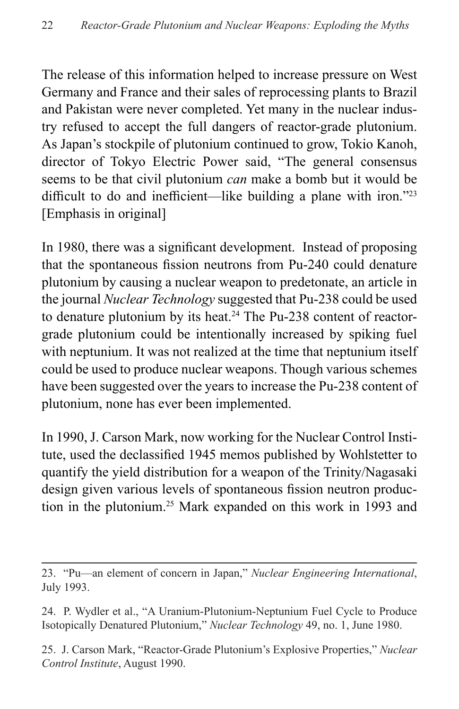The release of this information helped to increase pressure on West Germany and France and their sales of reprocessing plants to Brazil and Pakistan were never completed. Yet many in the nuclear industry refused to accept the full dangers of reactor-grade plutonium. As Japan's stockpile of plutonium continued to grow, Tokio Kanoh, director of Tokyo Electric Power said, "The general consensus seems to be that civil plutonium *can* make a bomb but it would be difficult to do and inefficient—like building a plane with iron."23 [Emphasis in original]

In 1980, there was a significant development. Instead of proposing that the spontaneous fission neutrons from Pu-240 could denature plutonium by causing a nuclear weapon to predetonate, an article in the journal *Nuclear Technology* suggested that Pu-238 could be used to denature plutonium by its heat.<sup>24</sup> The Pu-238 content of reactorgrade plutonium could be intentionally increased by spiking fuel with neptunium. It was not realized at the time that neptunium itself could be used to produce nuclear weapons. Though various schemes have been suggested over the years to increase the Pu-238 content of plutonium, none has ever been implemented.

In 1990, J. Carson Mark, now working for the Nuclear Control Institute, used the declassified 1945 memos published by Wohlstetter to quantify the yield distribution for a weapon of the Trinity/Nagasaki design given various levels of spontaneous fission neutron production in the plutonium.25 Mark expanded on this work in 1993 and

<sup>23. &</sup>quot;Pu—an element of concern in Japan," *Nuclear Engineering International*, July 1993.

<sup>24.</sup> P. Wydler et al., "A Uranium-Plutonium-Neptunium Fuel Cycle to Produce Isotopically Denatured Plutonium," *Nuclear Technology* 49, no. 1, June 1980.

<sup>25.</sup> J. Carson Mark, "Reactor-Grade Plutonium's Explosive Properties," *Nuclear Control Institute*, August 1990.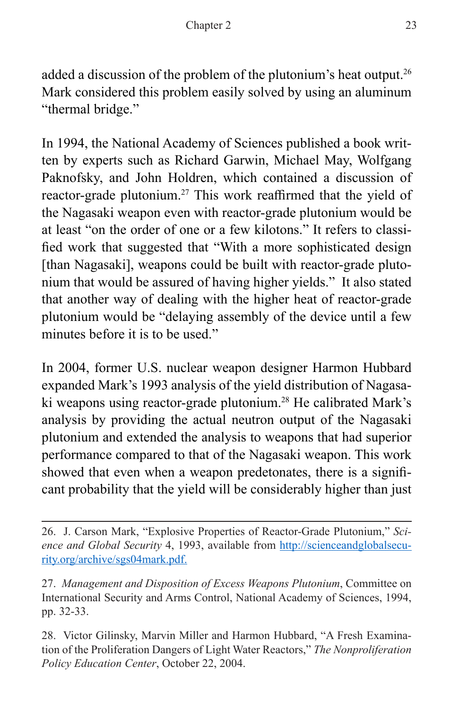added a discussion of the problem of the plutonium's heat output.26 Mark considered this problem easily solved by using an aluminum "thermal bridge."

In 1994, the National Academy of Sciences published a book written by experts such as Richard Garwin, Michael May, Wolfgang Paknofsky, and John Holdren, which contained a discussion of reactor-grade plutonium.27 This work reaffirmed that the yield of the Nagasaki weapon even with reactor-grade plutonium would be at least "on the order of one or a few kilotons." It refers to classified work that suggested that "With a more sophisticated design [than Nagasaki], weapons could be built with reactor-grade plutonium that would be assured of having higher yields." It also stated that another way of dealing with the higher heat of reactor-grade plutonium would be "delaying assembly of the device until a few minutes before it is to be used."

In 2004, former U.S. nuclear weapon designer Harmon Hubbard expanded Mark's 1993 analysis of the yield distribution of Nagasaki weapons using reactor-grade plutonium.<sup>28</sup> He calibrated Mark's analysis by providing the actual neutron output of the Nagasaki plutonium and extended the analysis to weapons that had superior performance compared to that of the Nagasaki weapon. This work showed that even when a weapon predetonates, there is a significant probability that the yield will be considerably higher than just

28. Victor Gilinsky, Marvin Miller and Harmon Hubbard, "A Fresh Examination of the Proliferation Dangers of Light Water Reactors," *The Nonproliferation Policy Education Center*, October 22, 2004.

<sup>26.</sup> J. Carson Mark, "Explosive Properties of Reactor-Grade Plutonium," *Science and Global Security* 4, 1993, available from [http://scienceandglobalsecu](http://scienceandglobalsecurity.org/archive/sgs04mark.pdf)[rity.org/archive/sgs04mark.pdf](http://scienceandglobalsecurity.org/archive/sgs04mark.pdf).

<sup>27.</sup> *Management and Disposition of Excess Weapons Plutonium*, Committee on International Security and Arms Control, National Academy of Sciences, 1994, pp. 32-33.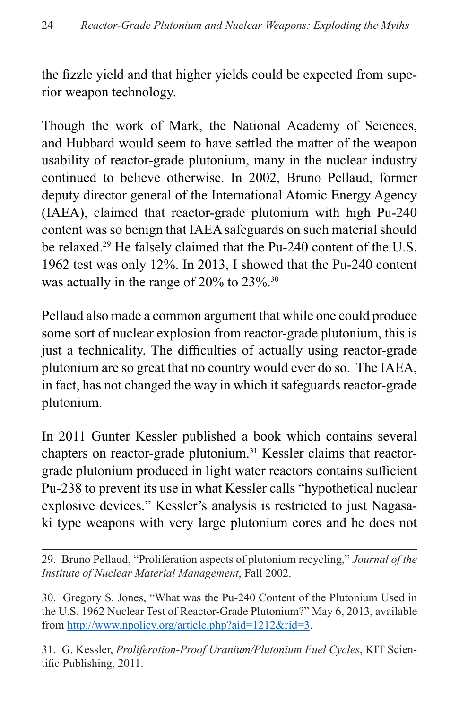the fizzle yield and that higher yields could be expected from superior weapon technology.

Though the work of Mark, the National Academy of Sciences, and Hubbard would seem to have settled the matter of the weapon usability of reactor-grade plutonium, many in the nuclear industry continued to believe otherwise. In 2002, Bruno Pellaud, former deputy director general of the International Atomic Energy Agency (IAEA), claimed that reactor-grade plutonium with high Pu-240 content was so benign that IAEA safeguards on such material should be relaxed.<sup>29</sup> He falsely claimed that the Pu-240 content of the U.S. 1962 test was only 12%. In 2013, I showed that the Pu-240 content was actually in the range of 20% to 23%.<sup>30</sup>

Pellaud also made a common argument that while one could produce some sort of nuclear explosion from reactor-grade plutonium, this is just a technicality. The difficulties of actually using reactor-grade plutonium are so great that no country would ever do so. The IAEA, in fact, has not changed the way in which it safeguards reactor-grade plutonium.

In 2011 Gunter Kessler published a book which contains several chapters on reactor-grade plutonium.<sup>31</sup> Kessler claims that reactorgrade plutonium produced in light water reactors contains sufficient Pu-238 to prevent its use in what Kessler calls "hypothetical nuclear explosive devices." Kessler's analysis is restricted to just Nagasaki type weapons with very large plutonium cores and he does not

29. Bruno Pellaud, "Proliferation aspects of plutonium recycling," *Journal of the Institute of Nuclear Material Management*, Fall 2002.

30. Gregory S. Jones, "What was the Pu-240 Content of the Plutonium Used in the U.S. 1962 Nuclear Test of Reactor-Grade Plutonium?" May 6, 2013, available from <http://www.npolicy.org/article.php?aid=1212&rid=3>.

31. G. Kessler, *Proliferation-Proof Uranium/Plutonium Fuel Cycles*, KIT Scientific Publishing, 2011.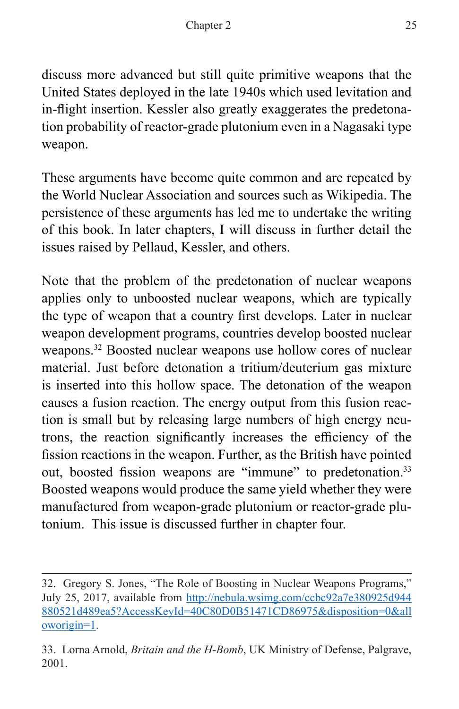discuss more advanced but still quite primitive weapons that the United States deployed in the late 1940s which used levitation and in-flight insertion. Kessler also greatly exaggerates the predetonation probability of reactor-grade plutonium even in a Nagasaki type weapon.

These arguments have become quite common and are repeated by the World Nuclear Association and sources such as Wikipedia. The persistence of these arguments has led me to undertake the writing of this book. In later chapters, I will discuss in further detail the issues raised by Pellaud, Kessler, and others.

Note that the problem of the predetonation of nuclear weapons applies only to unboosted nuclear weapons, which are typically the type of weapon that a country first develops. Later in nuclear weapon development programs, countries develop boosted nuclear weapons.32 Boosted nuclear weapons use hollow cores of nuclear material. Just before detonation a tritium/deuterium gas mixture is inserted into this hollow space. The detonation of the weapon causes a fusion reaction. The energy output from this fusion reaction is small but by releasing large numbers of high energy neutrons, the reaction significantly increases the efficiency of the fission reactions in the weapon. Further, as the British have pointed out, boosted fission weapons are "immune" to predetonation.<sup>33</sup> Boosted weapons would produce the same yield whether they were manufactured from weapon-grade plutonium or reactor-grade plutonium. This issue is discussed further in chapter four.

<sup>32.</sup> Gregory S. Jones, "The Role of Boosting in Nuclear Weapons Programs," July 25, 2017, available from [http://nebula.wsimg.com/ccbc92a7e380925d944](http://nebula.wsimg.com/ccbc92a7e380925d944880521d489ea5?AccessKeyId=40C80D0B51471CD86975&disposition=0&alloworigin=1) [880521d489ea5?AccessKeyId=40C80D0B51471CD86975&disposition=0&all](http://nebula.wsimg.com/ccbc92a7e380925d944880521d489ea5?AccessKeyId=40C80D0B51471CD86975&disposition=0&alloworigin=1) [oworigin=1.](http://nebula.wsimg.com/ccbc92a7e380925d944880521d489ea5?AccessKeyId=40C80D0B51471CD86975&disposition=0&alloworigin=1)

<sup>33.</sup> Lorna Arnold, *Britain and the H-Bomb*, UK Ministry of Defense, Palgrave, 2001.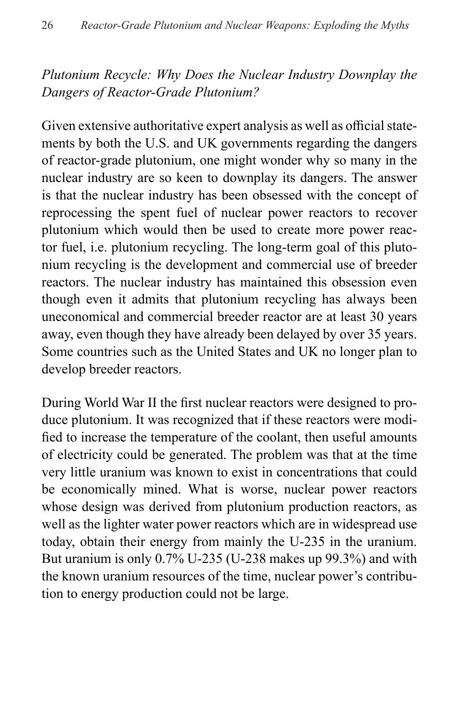## *Plutonium Recycle: Why Does the Nuclear Industry Downplay the Dangers of Reactor-Grade Plutonium?*

Given extensive authoritative expert analysis as well as official statements by both the U.S. and UK governments regarding the dangers of reactor-grade plutonium, one might wonder why so many in the nuclear industry are so keen to downplay its dangers. The answer is that the nuclear industry has been obsessed with the concept of reprocessing the spent fuel of nuclear power reactors to recover plutonium which would then be used to create more power reactor fuel, i.e. plutonium recycling. The long-term goal of this plutonium recycling is the development and commercial use of breeder reactors. The nuclear industry has maintained this obsession even though even it admits that plutonium recycling has always been uneconomical and commercial breeder reactor are at least 30 years away, even though they have already been delayed by over 35 years. Some countries such as the United States and UK no longer plan to develop breeder reactors.

During World War II the first nuclear reactors were designed to produce plutonium. It was recognized that if these reactors were modified to increase the temperature of the coolant, then useful amounts of electricity could be generated. The problem was that at the time very little uranium was known to exist in concentrations that could be economically mined. What is worse, nuclear power reactors whose design was derived from plutonium production reactors, as well as the lighter water power reactors which are in widespread use today, obtain their energy from mainly the U-235 in the uranium. But uranium is only 0.7% U-235 (U-238 makes up 99.3%) and with the known uranium resources of the time, nuclear power's contribution to energy production could not be large.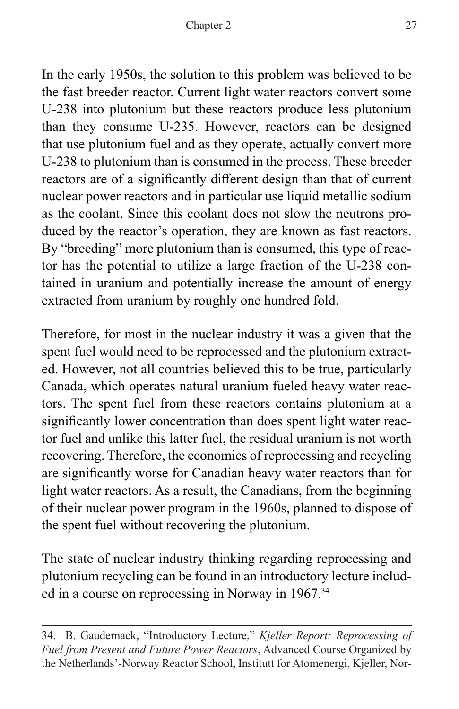In the early 1950s, the solution to this problem was believed to be the fast breeder reactor. Current light water reactors convert some U-238 into plutonium but these reactors produce less plutonium than they consume U-235. However, reactors can be designed that use plutonium fuel and as they operate, actually convert more U-238 to plutonium than is consumed in the process. These breeder reactors are of a significantly different design than that of current nuclear power reactors and in particular use liquid metallic sodium as the coolant. Since this coolant does not slow the neutrons produced by the reactor's operation, they are known as fast reactors. By "breeding" more plutonium than is consumed, this type of reactor has the potential to utilize a large fraction of the U-238 contained in uranium and potentially increase the amount of energy extracted from uranium by roughly one hundred fold.

Therefore, for most in the nuclear industry it was a given that the spent fuel would need to be reprocessed and the plutonium extracted. However, not all countries believed this to be true, particularly Canada, which operates natural uranium fueled heavy water reactors. The spent fuel from these reactors contains plutonium at a significantly lower concentration than does spent light water reactor fuel and unlike this latter fuel, the residual uranium is not worth recovering. Therefore, the economics of reprocessing and recycling are significantly worse for Canadian heavy water reactors than for light water reactors. As a result, the Canadians, from the beginning of their nuclear power program in the 1960s, planned to dispose of the spent fuel without recovering the plutonium.

The state of nuclear industry thinking regarding reprocessing and plutonium recycling can be found in an introductory lecture included in a course on reprocessing in Norway in 1967.<sup>34</sup>

<sup>34.</sup> B. Gaudernack, "Introductory Lecture," *Kjeller Report: Reprocessing of Fuel from Present and Future Power Reactors*, Advanced Course Organized by the Netherlands'-Norway Reactor School, Institutt for Atomenergi, Kjeller, Nor-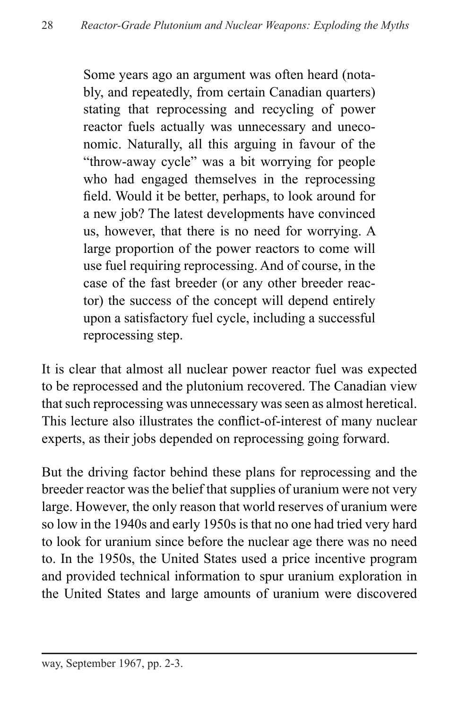Some years ago an argument was often heard (notably, and repeatedly, from certain Canadian quarters) stating that reprocessing and recycling of power reactor fuels actually was unnecessary and uneconomic. Naturally, all this arguing in favour of the "throw-away cycle" was a bit worrying for people who had engaged themselves in the reprocessing field. Would it be better, perhaps, to look around for a new job? The latest developments have convinced us, however, that there is no need for worrying. A large proportion of the power reactors to come will use fuel requiring reprocessing. And of course, in the case of the fast breeder (or any other breeder reactor) the success of the concept will depend entirely upon a satisfactory fuel cycle, including a successful reprocessing step.

It is clear that almost all nuclear power reactor fuel was expected to be reprocessed and the plutonium recovered. The Canadian view that such reprocessing was unnecessary was seen as almost heretical. This lecture also illustrates the conflict-of-interest of many nuclear experts, as their jobs depended on reprocessing going forward.

But the driving factor behind these plans for reprocessing and the breeder reactor was the belief that supplies of uranium were not very large. However, the only reason that world reserves of uranium were so low in the 1940s and early 1950s is that no one had tried very hard to look for uranium since before the nuclear age there was no need to. In the 1950s, the United States used a price incentive program and provided technical information to spur uranium exploration in the United States and large amounts of uranium were discovered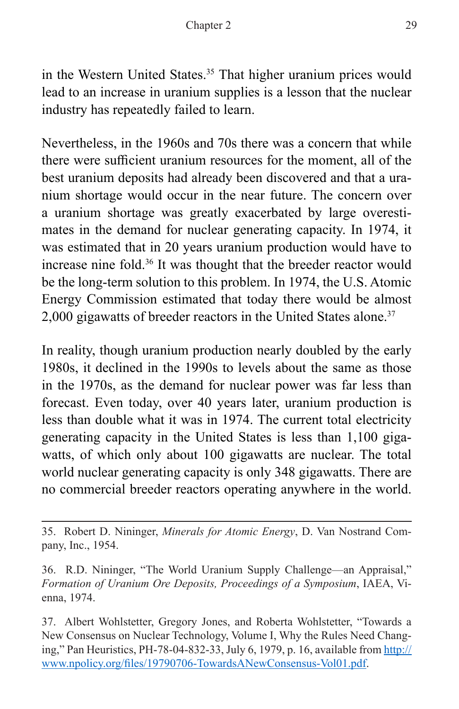in the Western United States.<sup>35</sup> That higher uranium prices would lead to an increase in uranium supplies is a lesson that the nuclear industry has repeatedly failed to learn.

Nevertheless, in the 1960s and 70s there was a concern that while there were sufficient uranium resources for the moment, all of the best uranium deposits had already been discovered and that a uranium shortage would occur in the near future. The concern over a uranium shortage was greatly exacerbated by large overestimates in the demand for nuclear generating capacity. In 1974, it was estimated that in 20 years uranium production would have to increase nine fold.36 It was thought that the breeder reactor would be the long-term solution to this problem. In 1974, the U.S. Atomic Energy Commission estimated that today there would be almost 2,000 gigawatts of breeder reactors in the United States alone.<sup>37</sup>

In reality, though uranium production nearly doubled by the early 1980s, it declined in the 1990s to levels about the same as those in the 1970s, as the demand for nuclear power was far less than forecast. Even today, over 40 years later, uranium production is less than double what it was in 1974. The current total electricity generating capacity in the United States is less than 1,100 gigawatts, of which only about 100 gigawatts are nuclear. The total world nuclear generating capacity is only 348 gigawatts. There are no commercial breeder reactors operating anywhere in the world.

<sup>35.</sup> Robert D. Nininger, *Minerals for Atomic Energy*, D. Van Nostrand Company, Inc., 1954.

<sup>36.</sup> R.D. Nininger, "The World Uranium Supply Challenge—an Appraisal," *Formation of Uranium Ore Deposits, Proceedings of a Symposium*, IAEA, Vienna, 1974.

<sup>37.</sup> Albert Wohlstetter, Gregory Jones, and Roberta Wohlstetter, "Towards a New Consensus on Nuclear Technology, Volume I, Why the Rules Need Changing," Pan Heuristics, PH-78-04-832-33, July 6, 1979, p. 16, available from [http://](http://www.npolicy.org/files/19790706-TowardsANewConsensus-Vol01.pdf) [www.npolicy.org/files/19790706-TowardsANewConsensus-Vol01.pdf](http://www.npolicy.org/files/19790706-TowardsANewConsensus-Vol01.pdf).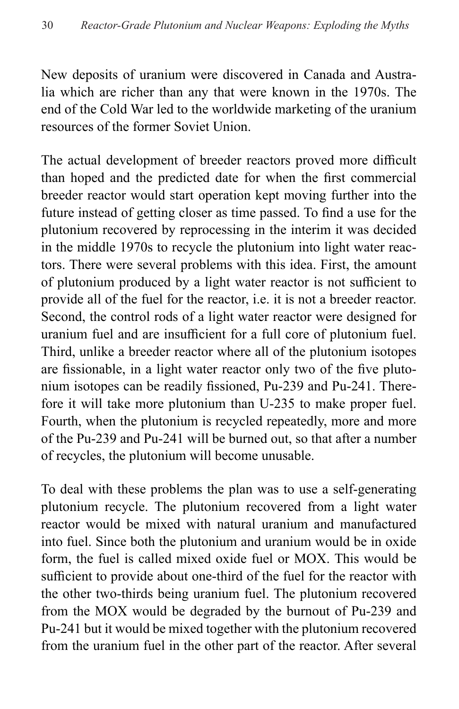New deposits of uranium were discovered in Canada and Australia which are richer than any that were known in the 1970s. The end of the Cold War led to the worldwide marketing of the uranium resources of the former Soviet Union.

The actual development of breeder reactors proved more difficult than hoped and the predicted date for when the first commercial breeder reactor would start operation kept moving further into the future instead of getting closer as time passed. To find a use for the plutonium recovered by reprocessing in the interim it was decided in the middle 1970s to recycle the plutonium into light water reactors. There were several problems with this idea. First, the amount of plutonium produced by a light water reactor is not sufficient to provide all of the fuel for the reactor, i.e. it is not a breeder reactor. Second, the control rods of a light water reactor were designed for uranium fuel and are insufficient for a full core of plutonium fuel. Third, unlike a breeder reactor where all of the plutonium isotopes are fissionable, in a light water reactor only two of the five plutonium isotopes can be readily fissioned, Pu-239 and Pu-241. Therefore it will take more plutonium than U-235 to make proper fuel. Fourth, when the plutonium is recycled repeatedly, more and more of the Pu-239 and Pu-241 will be burned out, so that after a number of recycles, the plutonium will become unusable.

To deal with these problems the plan was to use a self-generating plutonium recycle. The plutonium recovered from a light water reactor would be mixed with natural uranium and manufactured into fuel. Since both the plutonium and uranium would be in oxide form, the fuel is called mixed oxide fuel or MOX. This would be sufficient to provide about one-third of the fuel for the reactor with the other two-thirds being uranium fuel. The plutonium recovered from the MOX would be degraded by the burnout of Pu-239 and Pu-241 but it would be mixed together with the plutonium recovered from the uranium fuel in the other part of the reactor. After several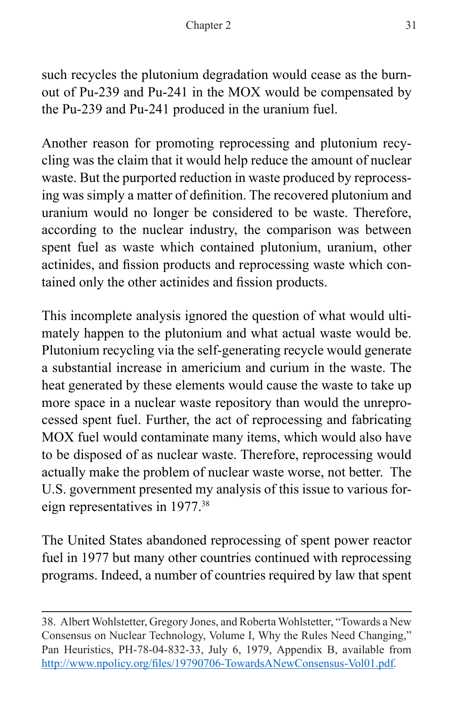such recycles the plutonium degradation would cease as the burnout of Pu-239 and Pu-241 in the MOX would be compensated by the Pu-239 and Pu-241 produced in the uranium fuel.

Another reason for promoting reprocessing and plutonium recycling was the claim that it would help reduce the amount of nuclear waste. But the purported reduction in waste produced by reprocessing was simply a matter of definition. The recovered plutonium and uranium would no longer be considered to be waste. Therefore, according to the nuclear industry, the comparison was between spent fuel as waste which contained plutonium, uranium, other actinides, and fission products and reprocessing waste which contained only the other actinides and fission products.

This incomplete analysis ignored the question of what would ultimately happen to the plutonium and what actual waste would be. Plutonium recycling via the self-generating recycle would generate a substantial increase in americium and curium in the waste. The heat generated by these elements would cause the waste to take up more space in a nuclear waste repository than would the unreprocessed spent fuel. Further, the act of reprocessing and fabricating MOX fuel would contaminate many items, which would also have to be disposed of as nuclear waste. Therefore, reprocessing would actually make the problem of nuclear waste worse, not better. The U.S. government presented my analysis of this issue to various foreign representatives in 1977.38

The United States abandoned reprocessing of spent power reactor fuel in 1977 but many other countries continued with reprocessing programs. Indeed, a number of countries required by law that spent

<sup>38.</sup> Albert Wohlstetter, Gregory Jones, and Roberta Wohlstetter, "Towards a New Consensus on Nuclear Technology, Volume I, Why the Rules Need Changing," Pan Heuristics, PH-78-04-832-33, July 6, 1979, Appendix B, available from <http://www.npolicy.org/files/19790706-TowardsANewConsensus-Vol01.pdf>*.*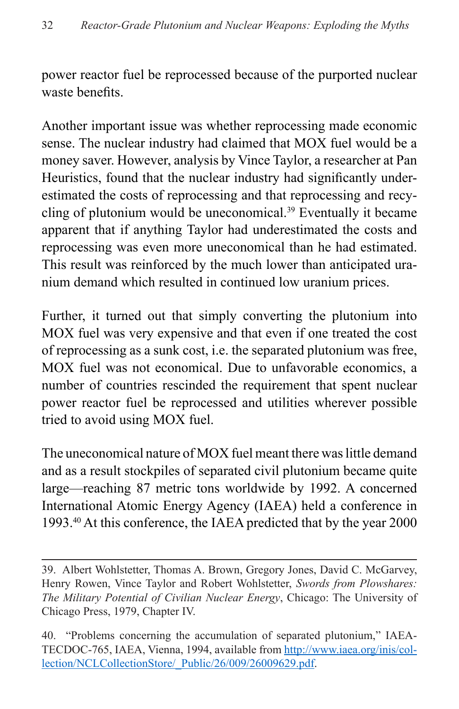power reactor fuel be reprocessed because of the purported nuclear waste benefits.

Another important issue was whether reprocessing made economic sense. The nuclear industry had claimed that MOX fuel would be a money saver. However, analysis by Vince Taylor, a researcher at Pan Heuristics, found that the nuclear industry had significantly underestimated the costs of reprocessing and that reprocessing and recycling of plutonium would be uneconomical.39 Eventually it became apparent that if anything Taylor had underestimated the costs and reprocessing was even more uneconomical than he had estimated. This result was reinforced by the much lower than anticipated uranium demand which resulted in continued low uranium prices.

Further, it turned out that simply converting the plutonium into MOX fuel was very expensive and that even if one treated the cost of reprocessing as a sunk cost, i.e. the separated plutonium was free, MOX fuel was not economical. Due to unfavorable economics, a number of countries rescinded the requirement that spent nuclear power reactor fuel be reprocessed and utilities wherever possible tried to avoid using MOX fuel.

The uneconomical nature of MOX fuel meant there was little demand and as a result stockpiles of separated civil plutonium became quite large—reaching 87 metric tons worldwide by 1992. A concerned International Atomic Energy Agency (IAEA) held a conference in 1993.40 At this conference, the IAEA predicted that by the year 2000

<sup>39.</sup> Albert Wohlstetter, Thomas A. Brown, Gregory Jones, David C. McGarvey, Henry Rowen, Vince Taylor and Robert Wohlstetter, *Swords from Plowshares: The Military Potential of Civilian Nuclear Energy*, Chicago: The University of Chicago Press, 1979, Chapter IV.

<sup>40. &</sup>quot;Problems concerning the accumulation of separated plutonium," IAEA-TECDOC-765, IAEA, Vienna, 1994, available from [http://www.iaea.org/inis/col](http://www.iaea.org/inis/collection/NCLCollectionStore/_Public/26/009/26009629.pdf)[lection/NCLCollectionStore/\\_Public/26/009/26009629.pdf](http://www.iaea.org/inis/collection/NCLCollectionStore/_Public/26/009/26009629.pdf).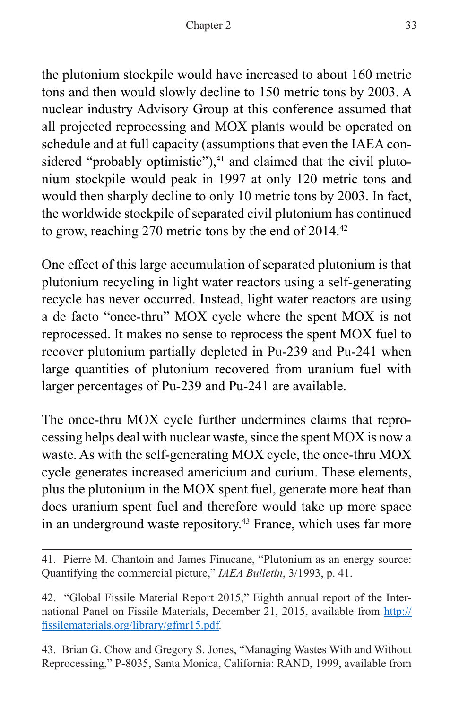the plutonium stockpile would have increased to about 160 metric tons and then would slowly decline to 150 metric tons by 2003. A nuclear industry Advisory Group at this conference assumed that all projected reprocessing and MOX plants would be operated on schedule and at full capacity (assumptions that even the IAEA considered "probably optimistic"), $41$  and claimed that the civil plutonium stockpile would peak in 1997 at only 120 metric tons and would then sharply decline to only 10 metric tons by 2003. In fact, the worldwide stockpile of separated civil plutonium has continued to grow, reaching 270 metric tons by the end of 2014.<sup>42</sup>

One effect of this large accumulation of separated plutonium is that plutonium recycling in light water reactors using a self-generating recycle has never occurred. Instead, light water reactors are using a de facto "once-thru" MOX cycle where the spent MOX is not reprocessed. It makes no sense to reprocess the spent MOX fuel to recover plutonium partially depleted in Pu-239 and Pu-241 when large quantities of plutonium recovered from uranium fuel with larger percentages of Pu-239 and Pu-241 are available.

The once-thru MOX cycle further undermines claims that reprocessing helps deal with nuclear waste, since the spent MOX is now a waste. As with the self-generating MOX cycle, the once-thru MOX cycle generates increased americium and curium. These elements, plus the plutonium in the MOX spent fuel, generate more heat than does uranium spent fuel and therefore would take up more space in an underground waste repository.<sup>43</sup> France, which uses far more

43. Brian G. Chow and Gregory S. Jones, "Managing Wastes With and Without Reprocessing," P-8035, Santa Monica, California: RAND, 1999, available from

<sup>41.</sup> Pierre M. Chantoin and James Finucane, "Plutonium as an energy source: Quantifying the commercial picture," *IAEA Bulletin*, 3/1993, p. 41.

<sup>42. &</sup>quot;Global Fissile Material Report 2015," Eighth annual report of the International Panel on Fissile Materials, December 21, 2015, available from [http://](http://fissilematerials.org/library/gfmr15.pdf) [fissilematerials.org/library/gfmr15.pdf](http://fissilematerials.org/library/gfmr15.pdf)*.*